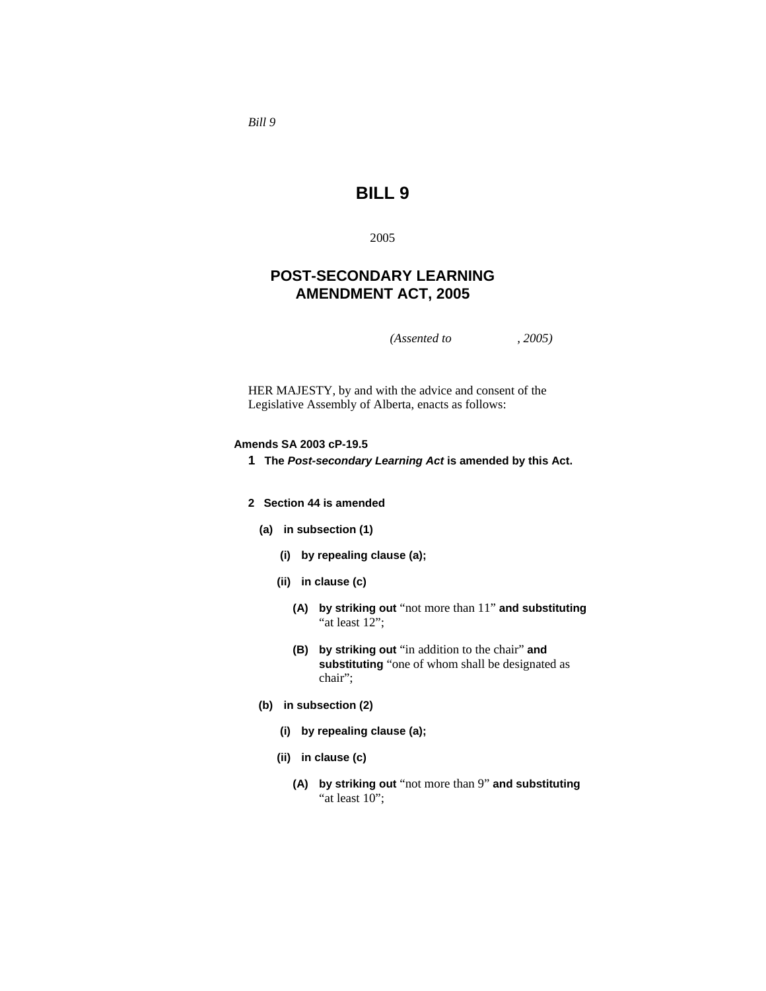*Bill 9* 

# **BILL 9**

2005

## **POST-SECONDARY LEARNING AMENDMENT ACT, 2005**

*(Assented to , 2005)* 

HER MAJESTY, by and with the advice and consent of the Legislative Assembly of Alberta, enacts as follows:

#### **Amends SA 2003 cP-19.5**

- **1 The** *Post-secondary Learning Act* **is amended by this Act.**
- **2 Section 44 is amended** 
	- **(a) in subsection (1)** 
		- **(i) by repealing clause (a);**
		- **(ii) in clause (c)** 
			- **(A) by striking out** "not more than 11" **and substituting**  "at least 12";
			- **(B) by striking out** "in addition to the chair" **and substituting** "one of whom shall be designated as chair";
	- **(b) in subsection (2)** 
		- **(i) by repealing clause (a);**
		- **(ii) in clause (c)** 
			- **(A) by striking out** "not more than 9" **and substituting**  "at least 10";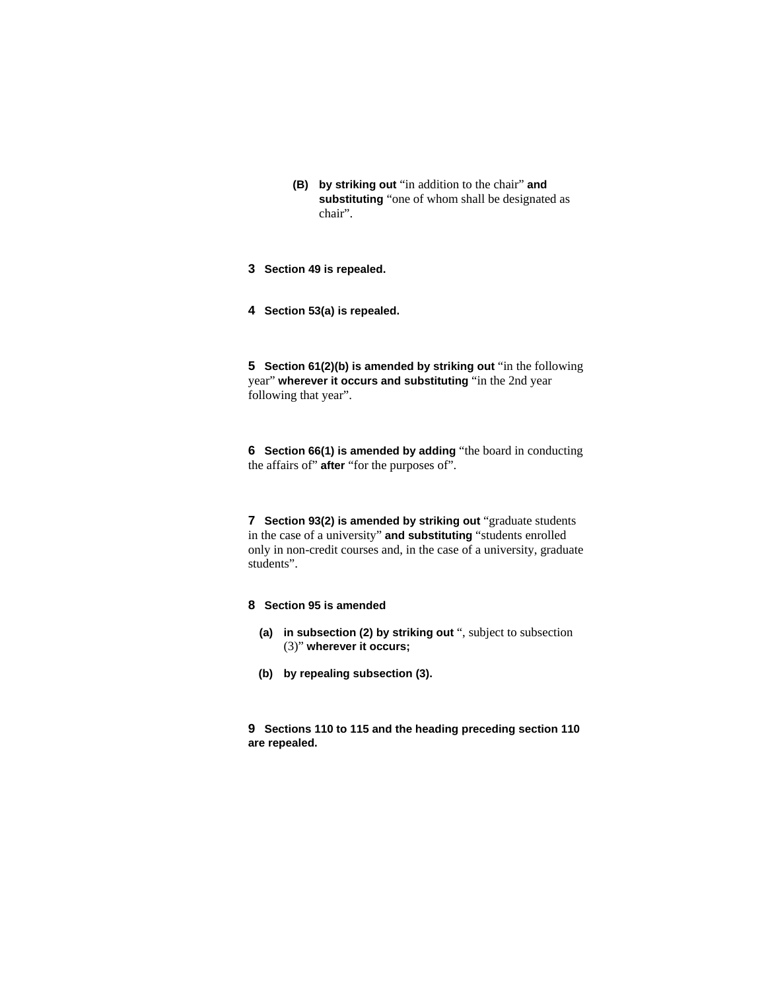- **(B) by striking out** "in addition to the chair" **and substituting** "one of whom shall be designated as chair".
- **3 Section 49 is repealed.**
- **4 Section 53(a) is repealed.**

**5** Section 61(2)(b) is amended by striking out "in the following year" **wherever it occurs and substituting** "in the 2nd year following that year".

**6 Section 66(1) is amended by adding** "the board in conducting the affairs of" **after** "for the purposes of".

**7** Section 93(2) is amended by striking out "graduate students in the case of a university" **and substituting** "students enrolled only in non-credit courses and, in the case of a university, graduate students".

## **8 Section 95 is amended**

- **(a) in subsection (2) by striking out** ", subject to subsection (3)" **wherever it occurs;**
- **(b) by repealing subsection (3).**

**9 Sections 110 to 115 and the heading preceding section 110 are repealed.**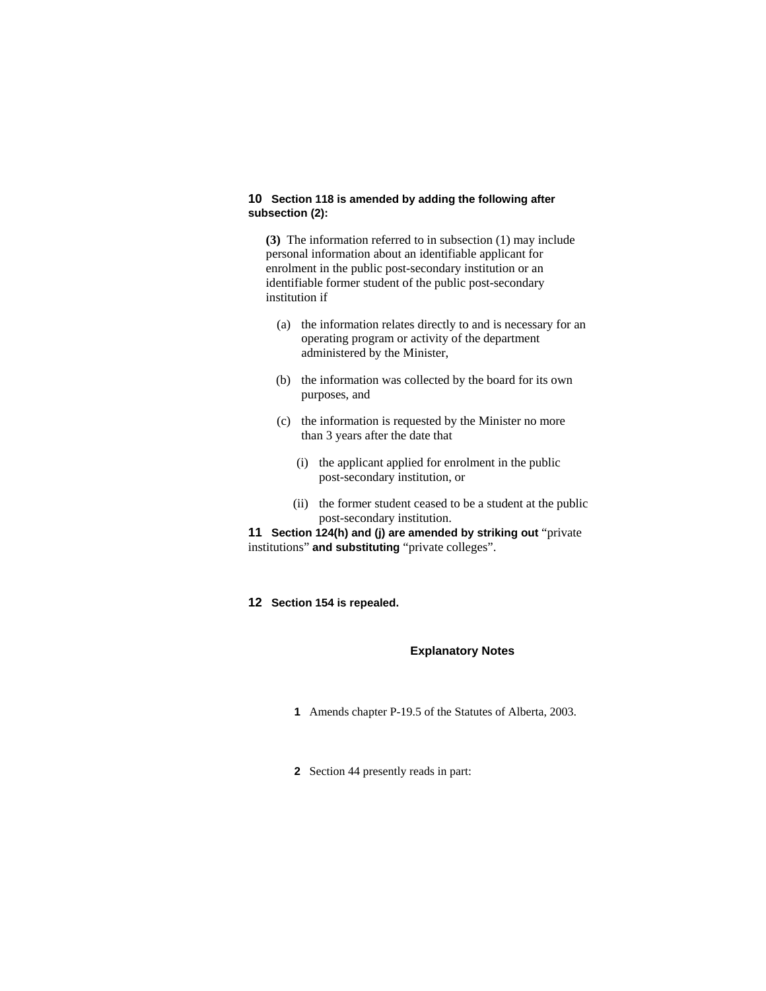## **10 Section 118 is amended by adding the following after subsection (2):**

**(3)** The information referred to in subsection (1) may include personal information about an identifiable applicant for enrolment in the public post-secondary institution or an identifiable former student of the public post-secondary institution if

- (a) the information relates directly to and is necessary for an operating program or activity of the department administered by the Minister,
- (b) the information was collected by the board for its own purposes, and
- (c) the information is requested by the Minister no more than 3 years after the date that
	- (i) the applicant applied for enrolment in the public post-secondary institution, or
	- (ii) the former student ceased to be a student at the public post-secondary institution.

**11 Section 124(h) and (j) are amended by striking out "private** institutions" **and substituting** "private colleges".

**12 Section 154 is repealed.** 

#### **Explanatory Notes**

- **1** Amends chapter P-19.5 of the Statutes of Alberta, 2003.
- **2** Section 44 presently reads in part: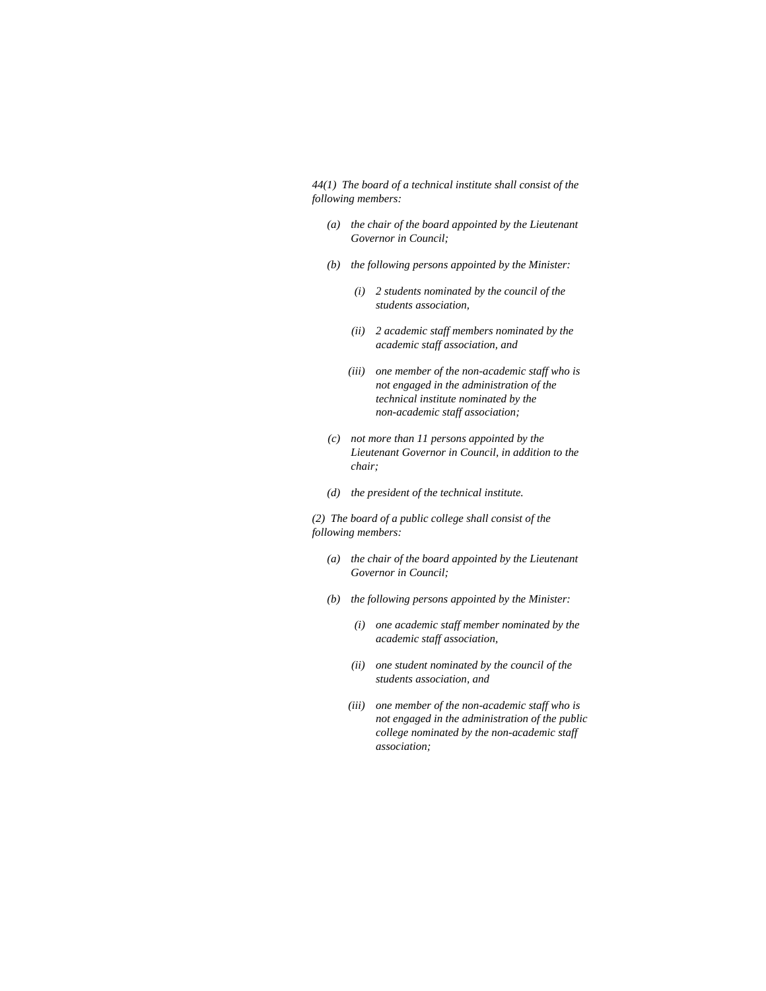*44(1) The board of a technical institute shall consist of the following members:* 

- *(a) the chair of the board appointed by the Lieutenant Governor in Council;*
- *(b) the following persons appointed by the Minister:* 
	- *(i) 2 students nominated by the council of the students association,*
	- *(ii) 2 academic staff members nominated by the academic staff association, and*
	- *(iii) one member of the non-academic staff who is not engaged in the administration of the technical institute nominated by the non-academic staff association;*
- *(c) not more than 11 persons appointed by the Lieutenant Governor in Council, in addition to the chair;*
- *(d) the president of the technical institute.*

*(2) The board of a public college shall consist of the following members:* 

- *(a) the chair of the board appointed by the Lieutenant Governor in Council;*
- *(b) the following persons appointed by the Minister:* 
	- *(i) one academic staff member nominated by the academic staff association,*
	- *(ii) one student nominated by the council of the students association, and*
	- *(iii) one member of the non-academic staff who is not engaged in the administration of the public college nominated by the non-academic staff association;*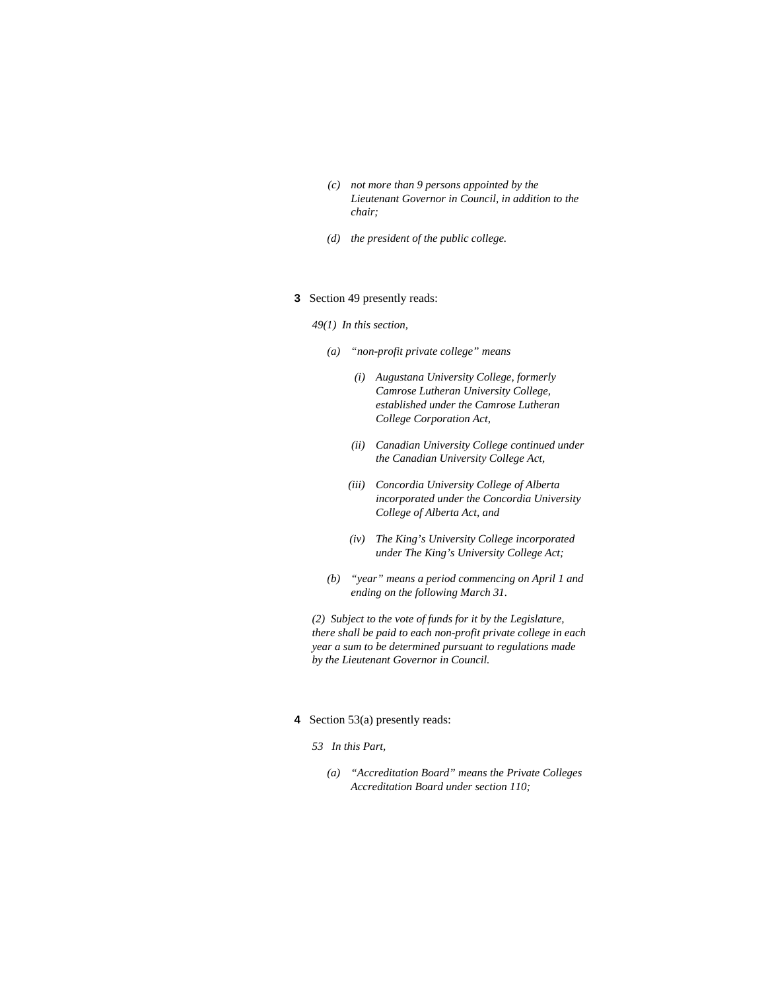- *(c) not more than 9 persons appointed by the Lieutenant Governor in Council, in addition to the chair;*
- *(d) the president of the public college.*

#### **3** Section 49 presently reads:

*49(1) In this section,* 

- *(a) "non-profit private college" means* 
	- *(i) Augustana University College, formerly Camrose Lutheran University College, established under the Camrose Lutheran College Corporation Act,*
	- *(ii) Canadian University College continued under the Canadian University College Act,*
	- *(iii) Concordia University College of Alberta incorporated under the Concordia University College of Alberta Act, and*
	- *(iv) The King's University College incorporated under The King's University College Act;*
- *(b) "year" means a period commencing on April 1 and ending on the following March 31.*

*(2) Subject to the vote of funds for it by the Legislature, there shall be paid to each non-profit private college in each year a sum to be determined pursuant to regulations made by the Lieutenant Governor in Council.* 

#### **4** Section 53(a) presently reads:

- *53 In this Part,* 
	- *(a) "Accreditation Board" means the Private Colleges Accreditation Board under section 110;*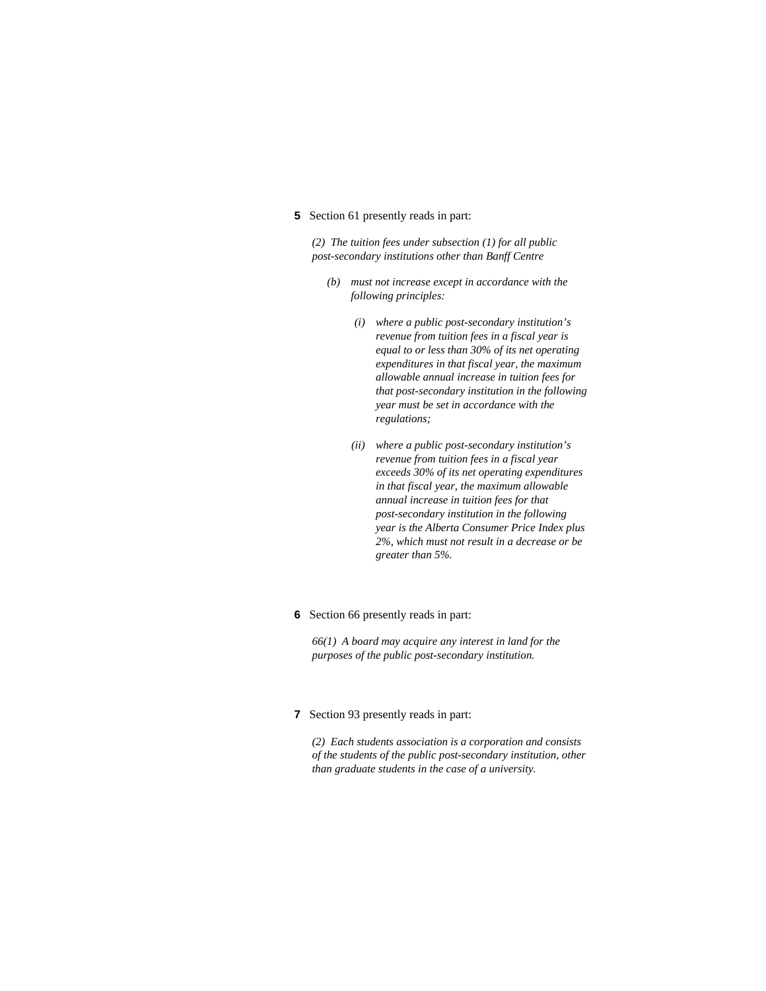#### **5** Section 61 presently reads in part:

*(2) The tuition fees under subsection (1) for all public post-secondary institutions other than Banff Centre* 

- *(b) must not increase except in accordance with the following principles:* 
	- *(i) where a public post-secondary institution's revenue from tuition fees in a fiscal year is equal to or less than 30% of its net operating expenditures in that fiscal year, the maximum allowable annual increase in tuition fees for that post-secondary institution in the following year must be set in accordance with the regulations;*
	- *(ii) where a public post-secondary institution's revenue from tuition fees in a fiscal year exceeds 30% of its net operating expenditures in that fiscal year, the maximum allowable annual increase in tuition fees for that post-secondary institution in the following year is the Alberta Consumer Price Index plus 2%, which must not result in a decrease or be greater than 5%.*

#### **6** Section 66 presently reads in part:

*66(1) A board may acquire any interest in land for the purposes of the public post-secondary institution.* 

#### **7** Section 93 presently reads in part:

*(2) Each students association is a corporation and consists of the students of the public post-secondary institution, other than graduate students in the case of a university.*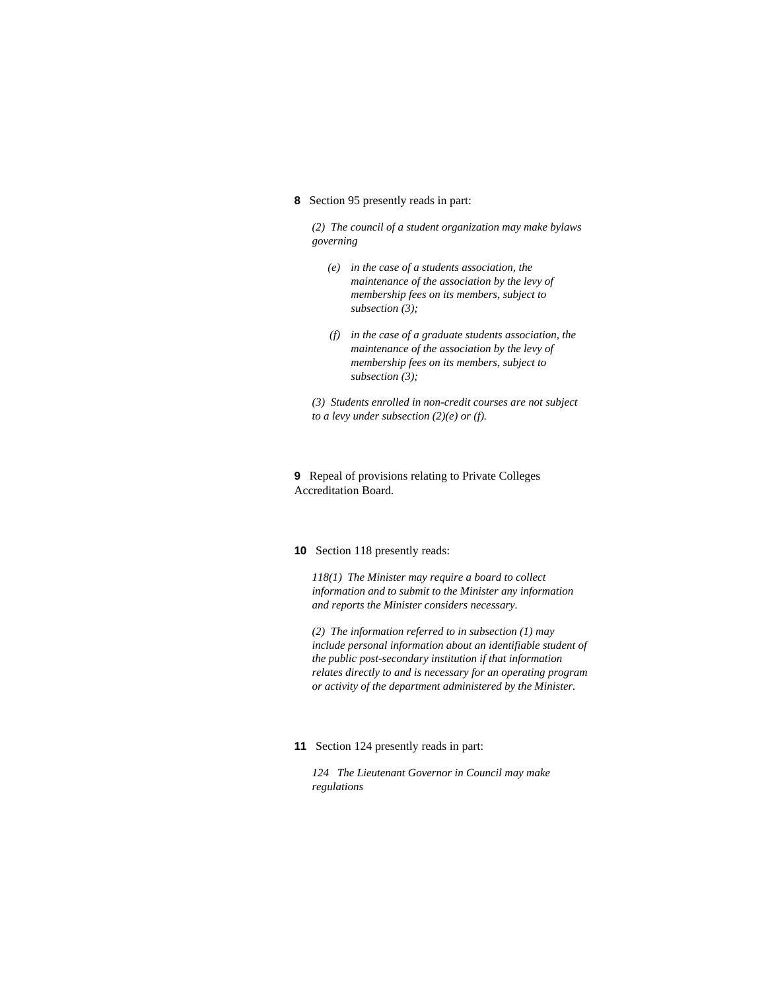**8** Section 95 presently reads in part:

*(2) The council of a student organization may make bylaws governing* 

- *(e) in the case of a students association, the maintenance of the association by the levy of membership fees on its members, subject to subsection (3);*
- *(f) in the case of a graduate students association, the maintenance of the association by the levy of membership fees on its members, subject to subsection (3);*
- *(3) Students enrolled in non-credit courses are not subject to a levy under subsection (2)(e) or (f).*

**9** Repeal of provisions relating to Private Colleges Accreditation Board.

#### **10** Section 118 presently reads:

*118(1) The Minister may require a board to collect information and to submit to the Minister any information and reports the Minister considers necessary.* 

*(2) The information referred to in subsection (1) may include personal information about an identifiable student of the public post-secondary institution if that information relates directly to and is necessary for an operating program or activity of the department administered by the Minister.* 

#### **11** Section 124 presently reads in part:

*124 The Lieutenant Governor in Council may make regulations*